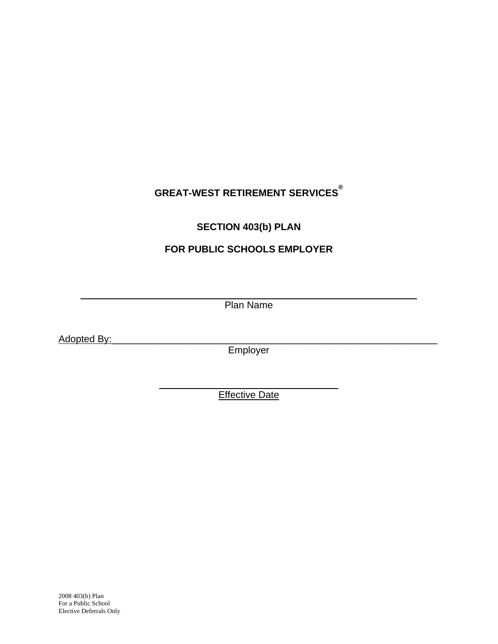# **GREAT-WEST RETIREMENT SERVICES®**

## **SECTION 403(b) PLAN**

## **FOR PUBLIC SCHOOLS EMPLOYER**

 $\_$  , and the contribution of the contribution of  $\mathcal{L}_\mathcal{A}$  , and the contribution of  $\mathcal{L}_\mathcal{A}$ Plan Name

Adopted By:

Employer

\_\_\_\_\_\_\_\_\_\_\_\_\_\_\_\_\_\_\_\_\_\_\_\_\_\_\_\_\_\_\_\_\_ **Effective Date**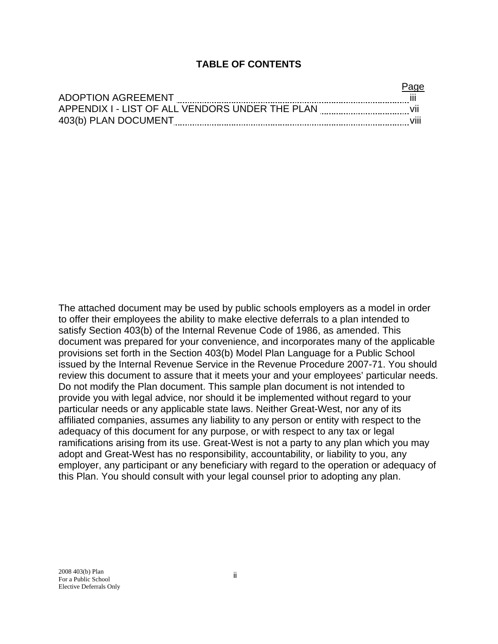#### **TABLE OF CONTENTS**

| <b>ADOPTION AGREEMENT</b>                       |  |
|-------------------------------------------------|--|
| APPENDIX I - LIST OF ALL VENDORS UNDER THE PLAN |  |
| 403(b) PLAN DOCUMENT                            |  |

The attached document may be used by public schools employers as a model in order to offer their employees the ability to make elective deferrals to a plan intended to satisfy Section 403(b) of the Internal Revenue Code of 1986, as amended. This document was prepared for your convenience, and incorporates many of the applicable provisions set forth in the Section 403(b) Model Plan Language for a Public School issued by the Internal Revenue Service in the Revenue Procedure 2007-71. You should review this document to assure that it meets your and your employees' particular needs. Do not modify the Plan document. This sample plan document is not intended to provide you with legal advice, nor should it be implemented without regard to your particular needs or any applicable state laws. Neither Great-West, nor any of its affiliated companies, assumes any liability to any person or entity with respect to the adequacy of this document for any purpose, or with respect to any tax or legal ramifications arising from its use. Great-West is not a party to any plan which you may adopt and Great-West has no responsibility, accountability, or liability to you, any employer, any participant or any beneficiary with regard to the operation or adequacy of this Plan. You should consult with your legal counsel prior to adopting any plan.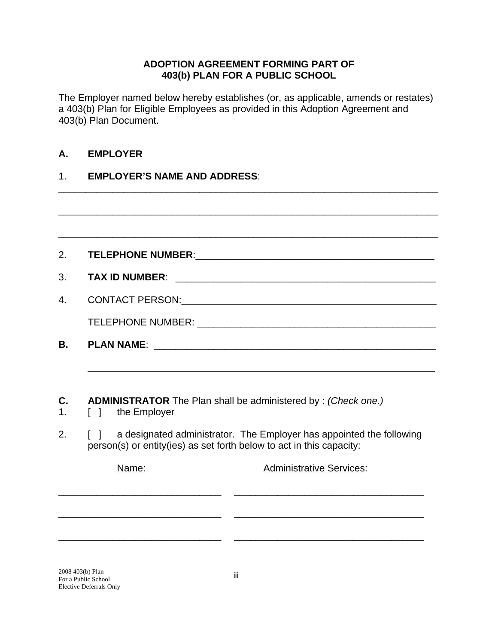#### **ADOPTION AGREEMENT FORMING PART OF 403(b) PLAN FOR A PUBLIC SCHOOL**

The Employer named below hereby establishes (or, as applicable, amends or restates) a 403(b) Plan for Eligible Employees as provided in this Adoption Agreement and 403(b) Plan Document.

\_\_\_\_\_\_\_\_\_\_\_\_\_\_\_\_\_\_\_\_\_\_\_\_\_\_\_\_\_\_\_\_\_\_\_\_\_\_\_\_\_\_\_\_\_\_\_\_\_\_\_\_\_\_\_\_\_\_\_\_\_\_\_\_\_\_\_\_\_\_

## **A. EMPLOYER**

#### 1. **EMPLOYER'S NAME AND ADDRESS**:

|        | <b>ADMINISTRATOR</b> The Plan shall be administered by: (Check one.)                                             |
|--------|------------------------------------------------------------------------------------------------------------------|
| $\Box$ | the Employer                                                                                                     |
|        | person(s) or entity(ies) as set forth below to act in this capacity:                                             |
|        | a designated administrator. The Employer has appointed the following<br><b>Administrative Services:</b><br>Name: |
|        |                                                                                                                  |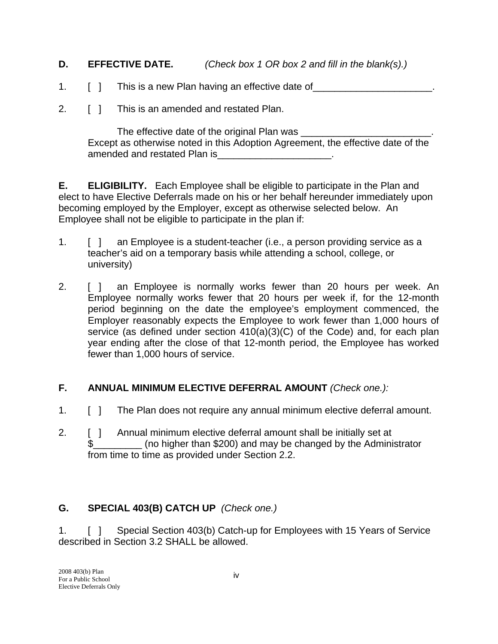## **D. EFFECTIVE DATE.** *(Check box 1 OR box 2 and fill in the blank(s).)*

- 1. [ ] This is a new Plan having an effective date of
- 2. **[ ] This is an amended and restated Plan.**

 The effective date of the original Plan was \_\_\_\_\_\_\_\_\_\_\_\_\_\_\_\_\_\_\_\_\_\_\_\_. Except as otherwise noted in this Adoption Agreement, the effective date of the amended and restated Plan is example and restated Plan is the set of the set of the set of the set of the set o

**E. ELIGIBILITY.** Each Employee shall be eligible to participate in the Plan and elect to have Elective Deferrals made on his or her behalf hereunder immediately upon becoming employed by the Employer, except as otherwise selected below. An Employee shall not be eligible to participate in the plan if:

- 1. [ ] an Employee is a student-teacher (i.e., a person providing service as a teacher's aid on a temporary basis while attending a school, college, or university)
- 2. [ ] an Employee is normally works fewer than 20 hours per week. An Employee normally works fewer that 20 hours per week if, for the 12-month period beginning on the date the employee's employment commenced, the Employer reasonably expects the Employee to work fewer than 1,000 hours of service (as defined under section 410(a)(3)(C) of the Code) and, for each plan year ending after the close of that 12-month period, the Employee has worked fewer than 1,000 hours of service.

## **F. ANNUAL MINIMUM ELECTIVE DEFERRAL AMOUNT** *(Check one.):*

- 1. [ ] The Plan does not require any annual minimum elective deferral amount.
- 2. [ ] Annual minimum elective deferral amount shall be initially set at \$\_\_\_\_\_\_\_\_\_ (no higher than \$200) and may be changed by the Administrator from time to time as provided under Section 2.2.

## **G. SPECIAL 403(B) CATCH UP** *(Check one.)*

1. [ ] Special Section 403(b) Catch-up for Employees with 15 Years of Service described in Section 3.2 SHALL be allowed.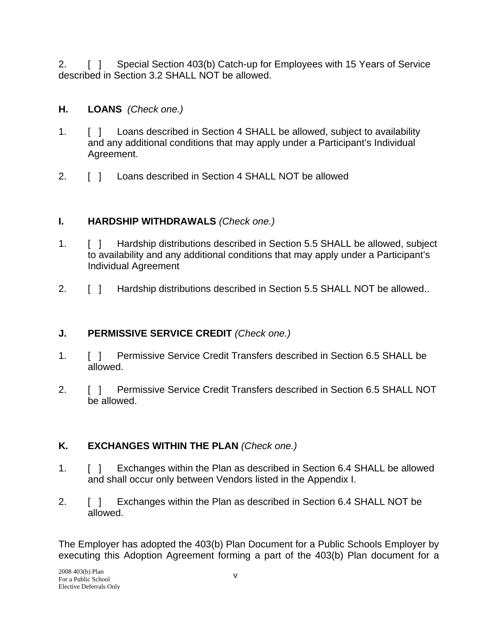2. [ ] Special Section 403(b) Catch-up for Employees with 15 Years of Service described in Section 3.2 SHALL NOT be allowed.

## **H. LOANS** *(Check one.)*

- 1. [ ] Loans described in Section 4 SHALL be allowed, subject to availability and any additional conditions that may apply under a Participant's Individual Agreement.
- 2. **[ ] Loans described in Section 4 SHALL NOT be allowed**

## **I. HARDSHIP WITHDRAWALS** *(Check one.)*

- 1. [ ] Hardship distributions described in Section 5.5 SHALL be allowed, subject to availability and any additional conditions that may apply under a Participant's Individual Agreement
- 2. [ ] Hardship distributions described in Section 5.5 SHALL NOT be allowed..

## **J. PERMISSIVE SERVICE CREDIT** *(Check one.)*

- 1. [ ] Permissive Service Credit Transfers described in Section 6.5 SHALL be allowed.
- 2. [ ] Permissive Service Credit Transfers described in Section 6.5 SHALL NOT be allowed.

## **K. EXCHANGES WITHIN THE PLAN** *(Check one.)*

- 1. [ ] Exchanges within the Plan as described in Section 6.4 SHALL be allowed and shall occur only between Vendors listed in the Appendix I.
- 2. [ ] Exchanges within the Plan as described in Section 6.4 SHALL NOT be allowed.

The Employer has adopted the 403(b) Plan Document for a Public Schools Employer by executing this Adoption Agreement forming a part of the 403(b) Plan document for a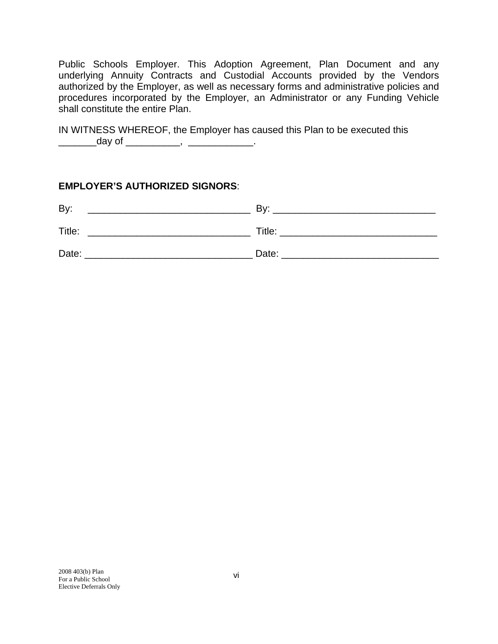Public Schools Employer. This Adoption Agreement, Plan Document and any underlying Annuity Contracts and Custodial Accounts provided by the Vendors authorized by the Employer, as well as necessary forms and administrative policies and procedures incorporated by the Employer, an Administrator or any Funding Vehicle shall constitute the entire Plan.

IN WITNESS WHEREOF, the Employer has caused this Plan to be executed this \_\_\_\_\_\_\_\_\_\_\_day of \_\_\_\_\_\_\_\_\_\_\_\_\_, \_\_\_\_\_\_\_\_\_\_\_\_\_\_\_\_\_.

#### **EMPLOYER'S AUTHORIZED SIGNORS**:

| By:    | Bv:    |
|--------|--------|
| Title: | Title: |
| Date:  | Date:  |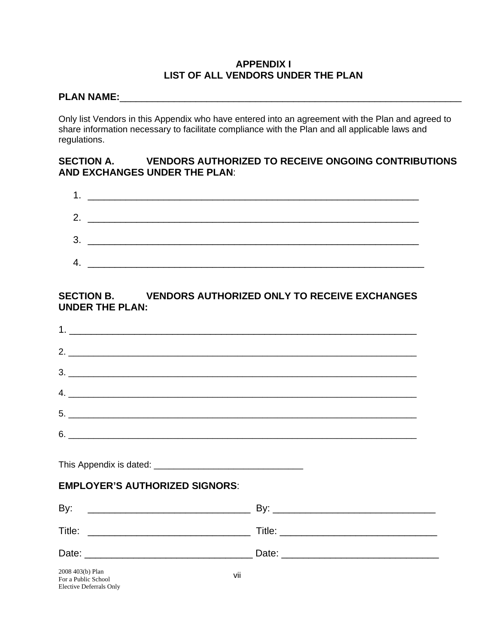#### **APPENDIX I LIST OF ALL VENDORS UNDER THE PLAN**

## **PLAN NAME:**\_\_\_\_\_\_\_\_\_\_\_\_\_\_\_\_\_\_\_\_\_\_\_\_\_\_\_\_\_\_\_\_\_\_\_\_\_\_\_\_\_\_\_\_\_\_\_\_\_\_\_\_\_\_\_\_\_\_\_\_\_\_\_

Only list Vendors in this Appendix who have entered into an agreement with the Plan and agreed to share information necessary to facilitate compliance with the Plan and all applicable laws and regulations.

#### **SECTION A. VENDORS AUTHORIZED TO RECEIVE ONGOING CONTRIBUTIONS AND EXCHANGES UNDER THE PLAN**:

| 2. |  |
|----|--|
| 3. |  |
| 4. |  |

## **SECTION B. VENDORS AUTHORIZED ONLY TO RECEIVE EXCHANGES UNDER THE PLAN:**

| $3.$ $\overline{\phantom{a}}$                  |  |
|------------------------------------------------|--|
| $\mathcal{A}$ .                                |  |
|                                                |  |
| $6.$ $\overline{\phantom{a}}$                  |  |
|                                                |  |
| <b>EMPLOYER'S AUTHORIZED SIGNORS:</b>          |  |
|                                                |  |
|                                                |  |
|                                                |  |
| 2008 403(b) Plan<br>vii<br>For a Public School |  |

Elective Deferrals Only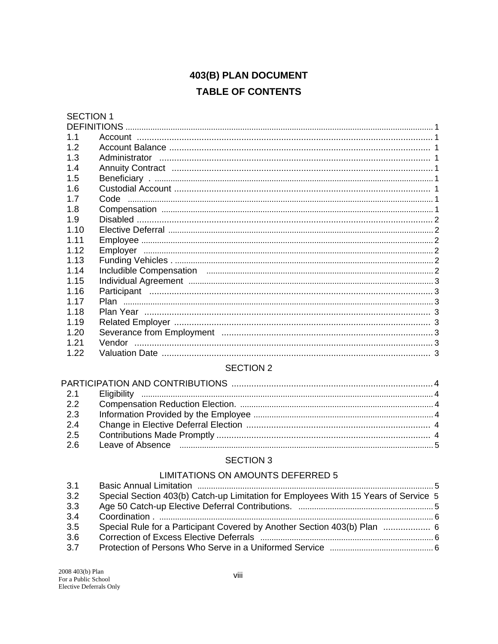# 403(B) PLAN DOCUMENT **TABLE OF CONTENTS**

# **SECTION 1**

| <b>DEFINITIONS</b> |  |
|--------------------|--|
| 1.1                |  |
| 1.2                |  |
| 1.3                |  |
| 14                 |  |
| 1.5                |  |
| 1.6                |  |
| 1.7                |  |
| 1.8                |  |
| 1.9                |  |
| 1.10               |  |
| 1 1 1              |  |
| 1.12               |  |
| 1.13               |  |
| 1.14               |  |
| 1.15               |  |
| 1.16               |  |
| 1 17               |  |
| 1.18               |  |
| 1.19               |  |
| 1.20               |  |
| 1.21               |  |
| 1.22               |  |

#### **SECTION 2**

| Leave of Absence measurements are the contract of Absence measurements and the contract of Absence measurement |  |
|----------------------------------------------------------------------------------------------------------------|--|
|                                                                                                                |  |

#### **SECTION 3**

#### LIMITATIONS ON AMOUNTS DEFERRED 5

| 3.1 |                                                                                     |  |
|-----|-------------------------------------------------------------------------------------|--|
| 3.2 | Special Section 403(b) Catch-up Limitation for Employees With 15 Years of Service 5 |  |
| 3.3 |                                                                                     |  |
| 3.4 |                                                                                     |  |
| 3.5 |                                                                                     |  |
| 3.6 |                                                                                     |  |
| 3.7 |                                                                                     |  |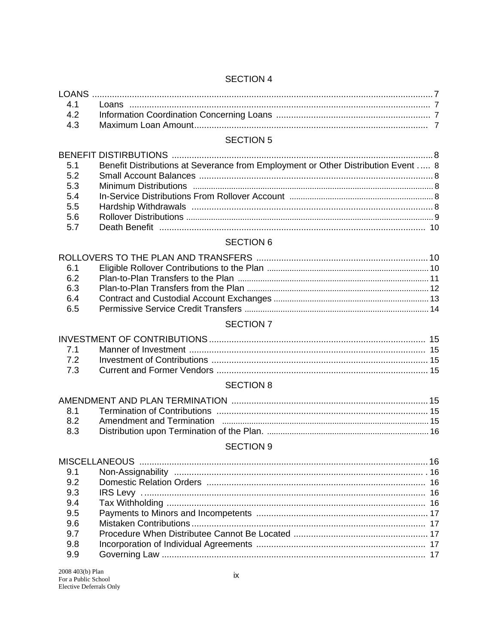#### **SECTION 5**

| 5.1 | Benefit Distributions at Severance from Employment or Other Distribution Event  8 |  |
|-----|-----------------------------------------------------------------------------------|--|
| 5.2 |                                                                                   |  |
| 5.3 |                                                                                   |  |
| 5.4 |                                                                                   |  |
| 5.5 |                                                                                   |  |
| 5.6 |                                                                                   |  |
| 5.7 |                                                                                   |  |
|     |                                                                                   |  |

## **SECTION 6**

| 6.1 |  |
|-----|--|
| 6.2 |  |
| 6.3 |  |
| 6.4 |  |
| 6.5 |  |

## SECTION 7

#### **SECTION 8**

#### **SECTION 9**

| 9.2 |  |
|-----|--|
| 9.3 |  |
| 9.4 |  |
| 9.5 |  |
| 9.6 |  |
| 9.7 |  |
| 9.8 |  |
| 9.9 |  |
|     |  |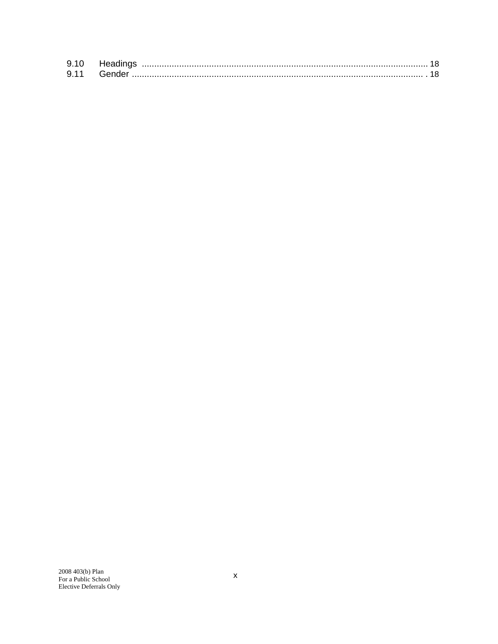| 9.11 |  |
|------|--|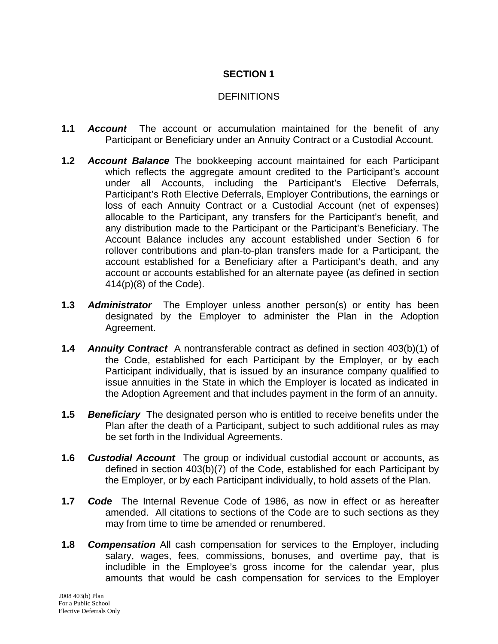#### **DEFINITIONS**

- **1.1** *Account* The account or accumulation maintained for the benefit of any Participant or Beneficiary under an Annuity Contract or a Custodial Account.
- **1.2** *Account Balance* The bookkeeping account maintained for each Participant which reflects the aggregate amount credited to the Participant's account under all Accounts, including the Participant's Elective Deferrals, Participant's Roth Elective Deferrals, Employer Contributions, the earnings or loss of each Annuity Contract or a Custodial Account (net of expenses) allocable to the Participant, any transfers for the Participant's benefit, and any distribution made to the Participant or the Participant's Beneficiary. The Account Balance includes any account established under Section 6 for rollover contributions and plan-to-plan transfers made for a Participant, the account established for a Beneficiary after a Participant's death, and any account or accounts established for an alternate payee (as defined in section 414(p)(8) of the Code).
- **1.3** *Administrator* The Employer unless another person(s) or entity has been designated by the Employer to administer the Plan in the Adoption Agreement.
- **1.4** *Annuity Contract* A nontransferable contract as defined in section 403(b)(1) of the Code, established for each Participant by the Employer, or by each Participant individually, that is issued by an insurance company qualified to issue annuities in the State in which the Employer is located as indicated in the Adoption Agreement and that includes payment in the form of an annuity.
- **1.5** *Beneficiary* The designated person who is entitled to receive benefits under the Plan after the death of a Participant, subject to such additional rules as may be set forth in the Individual Agreements.
- **1.6** *Custodial Account* The group or individual custodial account or accounts, as defined in section 403(b)(7) of the Code, established for each Participant by the Employer, or by each Participant individually, to hold assets of the Plan.
- **1.7** *Code* The Internal Revenue Code of 1986, as now in effect or as hereafter amended. All citations to sections of the Code are to such sections as they may from time to time be amended or renumbered.
- **1.8** *Compensation* All cash compensation for services to the Employer, including salary, wages, fees, commissions, bonuses, and overtime pay, that is includible in the Employee's gross income for the calendar year, plus amounts that would be cash compensation for services to the Employer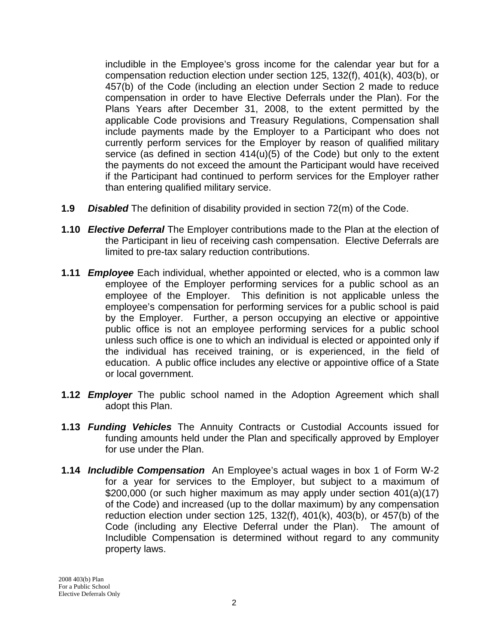includible in the Employee's gross income for the calendar year but for a compensation reduction election under section 125, 132(f), 401(k), 403(b), or 457(b) of the Code (including an election under Section 2 made to reduce compensation in order to have Elective Deferrals under the Plan). For the Plans Years after December 31, 2008, to the extent permitted by the applicable Code provisions and Treasury Regulations, Compensation shall include payments made by the Employer to a Participant who does not currently perform services for the Employer by reason of qualified military service (as defined in section 414(u)(5) of the Code) but only to the extent the payments do not exceed the amount the Participant would have received if the Participant had continued to perform services for the Employer rather than entering qualified military service.

- **1.9** *Disabled* The definition of disability provided in section 72(m) of the Code.
- **1.10** *Elective Deferral* The Employer contributions made to the Plan at the election of the Participant in lieu of receiving cash compensation. Elective Deferrals are limited to pre-tax salary reduction contributions.
- **1.11** *Employee* Each individual, whether appointed or elected, who is a common law employee of the Employer performing services for a public school as an employee of the Employer. This definition is not applicable unless the employee's compensation for performing services for a public school is paid by the Employer. Further, a person occupying an elective or appointive public office is not an employee performing services for a public school unless such office is one to which an individual is elected or appointed only if the individual has received training, or is experienced, in the field of education. A public office includes any elective or appointive office of a State or local government.
- **1.12** *Employer* The public school named in the Adoption Agreement which shall adopt this Plan.
- **1.13** *Funding Vehicles* The Annuity Contracts or Custodial Accounts issued for funding amounts held under the Plan and specifically approved by Employer for use under the Plan.
- **1.14** *Includible Compensation* An Employee's actual wages in box 1 of Form W-2 for a year for services to the Employer, but subject to a maximum of \$200,000 (or such higher maximum as may apply under section 401(a)(17) of the Code) and increased (up to the dollar maximum) by any compensation reduction election under section 125, 132(f), 401(k), 403(b), or 457(b) of the Code (including any Elective Deferral under the Plan). The amount of Includible Compensation is determined without regard to any community property laws.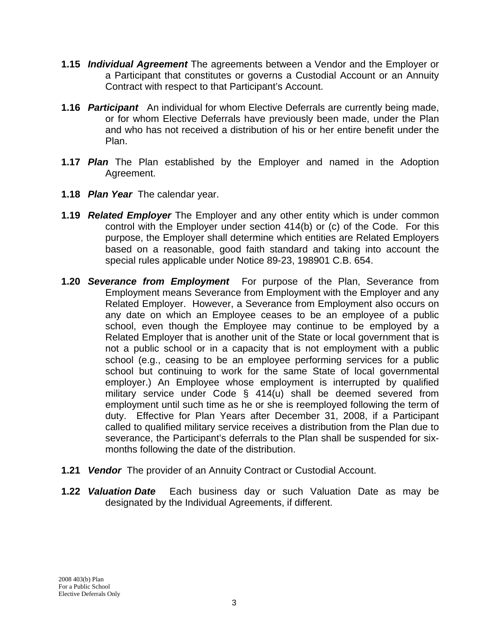- **1.15** *Individual Agreement* The agreements between a Vendor and the Employer or a Participant that constitutes or governs a Custodial Account or an Annuity Contract with respect to that Participant's Account.
- **1.16** *Participant* An individual for whom Elective Deferrals are currently being made, or for whom Elective Deferrals have previously been made, under the Plan and who has not received a distribution of his or her entire benefit under the Plan.
- **1.17** *Plan* The Plan established by the Employer and named in the Adoption Agreement.
- **1.18** *Plan Year* The calendar year.
- **1.19** *Related Employer* The Employer and any other entity which is under common control with the Employer under section 414(b) or (c) of the Code. For this purpose, the Employer shall determine which entities are Related Employers based on a reasonable, good faith standard and taking into account the special rules applicable under Notice 89-23, 198901 C.B. 654.
- **1.20** *Severance from Employment* For purpose of the Plan, Severance from Employment means Severance from Employment with the Employer and any Related Employer. However, a Severance from Employment also occurs on any date on which an Employee ceases to be an employee of a public school, even though the Employee may continue to be employed by a Related Employer that is another unit of the State or local government that is not a public school or in a capacity that is not employment with a public school (e.g., ceasing to be an employee performing services for a public school but continuing to work for the same State of local governmental employer.) An Employee whose employment is interrupted by qualified military service under Code § 414(u) shall be deemed severed from employment until such time as he or she is reemployed following the term of duty. Effective for Plan Years after December 31, 2008, if a Participant called to qualified military service receives a distribution from the Plan due to severance, the Participant's deferrals to the Plan shall be suspended for sixmonths following the date of the distribution.
- **1.21** *Vendor* The provider of an Annuity Contract or Custodial Account.
- **1.22** *Valuation Date* Each business day or such Valuation Date as may be designated by the Individual Agreements, if different.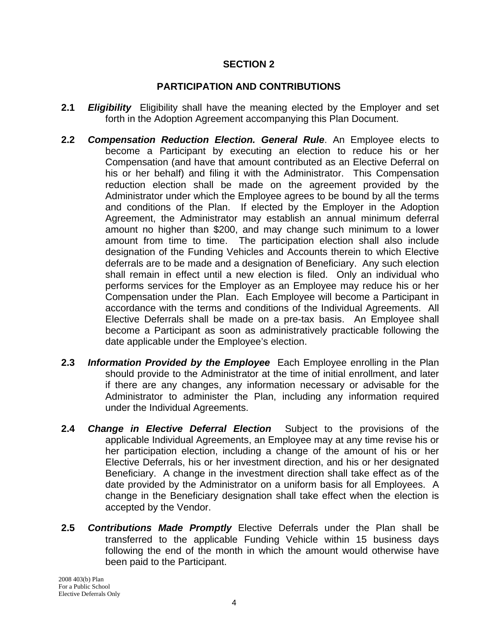#### **PARTICIPATION AND CONTRIBUTIONS**

- **2.1** *Eligibility* Eligibility shall have the meaning elected by the Employer and set forth in the Adoption Agreement accompanying this Plan Document.
- **2.2** *Compensation Reduction Election. General Rule*. An Employee elects to become a Participant by executing an election to reduce his or her Compensation (and have that amount contributed as an Elective Deferral on his or her behalf) and filing it with the Administrator. This Compensation reduction election shall be made on the agreement provided by the Administrator under which the Employee agrees to be bound by all the terms and conditions of the Plan. If elected by the Employer in the Adoption Agreement, the Administrator may establish an annual minimum deferral amount no higher than \$200, and may change such minimum to a lower amount from time to time. The participation election shall also include designation of the Funding Vehicles and Accounts therein to which Elective deferrals are to be made and a designation of Beneficiary. Any such election shall remain in effect until a new election is filed. Only an individual who performs services for the Employer as an Employee may reduce his or her Compensation under the Plan. Each Employee will become a Participant in accordance with the terms and conditions of the Individual Agreements. All Elective Deferrals shall be made on a pre-tax basis. An Employee shall become a Participant as soon as administratively practicable following the date applicable under the Employee's election.
- **2.3** *Information Provided by the Employee* Each Employee enrolling in the Plan should provide to the Administrator at the time of initial enrollment, and later if there are any changes, any information necessary or advisable for the Administrator to administer the Plan, including any information required under the Individual Agreements.
- **2.4** *Change in Elective Deferral Election* Subject to the provisions of the applicable Individual Agreements, an Employee may at any time revise his or her participation election, including a change of the amount of his or her Elective Deferrals, his or her investment direction, and his or her designated Beneficiary. A change in the investment direction shall take effect as of the date provided by the Administrator on a uniform basis for all Employees. A change in the Beneficiary designation shall take effect when the election is accepted by the Vendor.
- **2.5** *Contributions Made Promptly* Elective Deferrals under the Plan shall be transferred to the applicable Funding Vehicle within 15 business days following the end of the month in which the amount would otherwise have been paid to the Participant.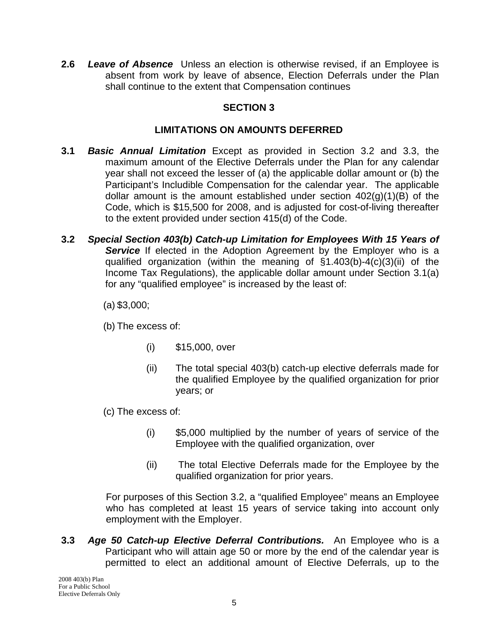**2.6** *Leave of Absence* Unless an election is otherwise revised, if an Employee is absent from work by leave of absence, Election Deferrals under the Plan shall continue to the extent that Compensation continues

## **SECTION 3**

#### **LIMITATIONS ON AMOUNTS DEFERRED**

- **3.1** *Basic Annual Limitation* Except as provided in Section 3.2 and 3.3, the maximum amount of the Elective Deferrals under the Plan for any calendar year shall not exceed the lesser of (a) the applicable dollar amount or (b) the Participant's Includible Compensation for the calendar year. The applicable dollar amount is the amount established under section  $402(q)(1)(B)$  of the Code, which is \$15,500 for 2008, and is adjusted for cost-of-living thereafter to the extent provided under section 415(d) of the Code.
- **3.2** *Special Section 403(b) Catch-up Limitation for Employees With 15 Years of*  **Service** If elected in the Adoption Agreement by the Employer who is a qualified organization (within the meaning of §1.403(b)-4(c)(3)(ii) of the Income Tax Regulations), the applicable dollar amount under Section 3.1(a) for any "qualified employee" is increased by the least of:

(a) \$3,000;

(b) The excess of:

- (i) \$15,000, over
- (ii) The total special 403(b) catch-up elective deferrals made for the qualified Employee by the qualified organization for prior years; or
- (c) The excess of:
	- (i) \$5,000 multiplied by the number of years of service of the Employee with the qualified organization, over
	- (ii) The total Elective Deferrals made for the Employee by the qualified organization for prior years.

For purposes of this Section 3.2, a "qualified Employee" means an Employee who has completed at least 15 years of service taking into account only employment with the Employer.

 **3.3** *Age 50 Catch-up Elective Deferral Contributions.* An Employee who is a Participant who will attain age 50 or more by the end of the calendar year is permitted to elect an additional amount of Elective Deferrals, up to the

2008 403(b) Plan For a Public School Elective Deferrals Only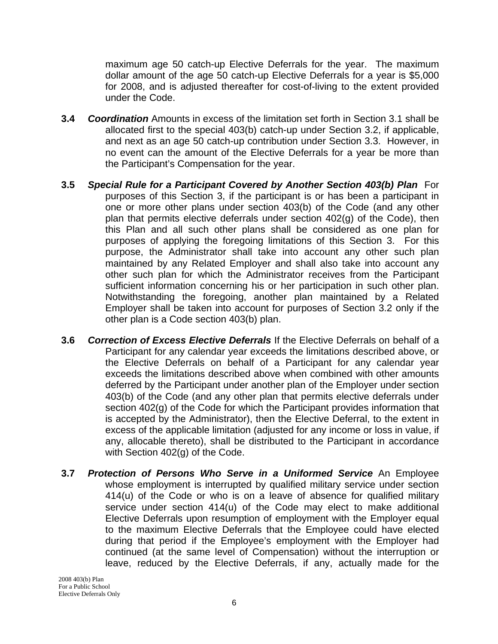maximum age 50 catch-up Elective Deferrals for the year. The maximum dollar amount of the age 50 catch-up Elective Deferrals for a year is \$5,000 for 2008, and is adjusted thereafter for cost-of-living to the extent provided under the Code.

- **3.4** *Coordination* Amounts in excess of the limitation set forth in Section 3.1 shall be allocated first to the special 403(b) catch-up under Section 3.2, if applicable, and next as an age 50 catch-up contribution under Section 3.3. However, in no event can the amount of the Elective Deferrals for a year be more than the Participant's Compensation for the year.
- **3.5** *Special Rule for a Participant Covered by Another Section 403(b) Plan* For purposes of this Section 3, if the participant is or has been a participant in one or more other plans under section 403(b) of the Code (and any other plan that permits elective deferrals under section 402(g) of the Code), then this Plan and all such other plans shall be considered as one plan for purposes of applying the foregoing limitations of this Section 3. For this purpose, the Administrator shall take into account any other such plan maintained by any Related Employer and shall also take into account any other such plan for which the Administrator receives from the Participant sufficient information concerning his or her participation in such other plan. Notwithstanding the foregoing, another plan maintained by a Related Employer shall be taken into account for purposes of Section 3.2 only if the other plan is a Code section 403(b) plan.
- **3.6** *Correction of Excess Elective Deferrals* If the Elective Deferrals on behalf of a Participant for any calendar year exceeds the limitations described above, or the Elective Deferrals on behalf of a Participant for any calendar year exceeds the limitations described above when combined with other amounts deferred by the Participant under another plan of the Employer under section 403(b) of the Code (and any other plan that permits elective deferrals under section 402(g) of the Code for which the Participant provides information that is accepted by the Administrator), then the Elective Deferral, to the extent in excess of the applicable limitation (adjusted for any income or loss in value, if any, allocable thereto), shall be distributed to the Participant in accordance with Section 402(g) of the Code.
- **3.7** *Protection of Persons Who Serve in a Uniformed Service* An Employee whose employment is interrupted by qualified military service under section 414(u) of the Code or who is on a leave of absence for qualified military service under section 414(u) of the Code may elect to make additional Elective Deferrals upon resumption of employment with the Employer equal to the maximum Elective Deferrals that the Employee could have elected during that period if the Employee's employment with the Employer had continued (at the same level of Compensation) without the interruption or leave, reduced by the Elective Deferrals, if any, actually made for the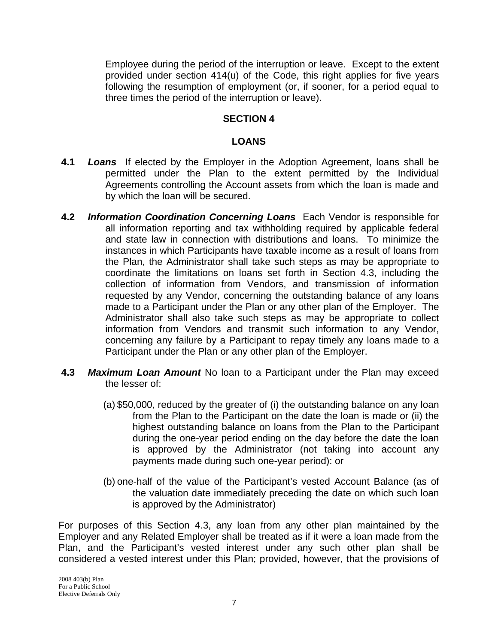Employee during the period of the interruption or leave. Except to the extent provided under section 414(u) of the Code, this right applies for five years following the resumption of employment (or, if sooner, for a period equal to three times the period of the interruption or leave).

#### **SECTION 4**

#### **LOANS**

- **4.1** *Loans* If elected by the Employer in the Adoption Agreement, loans shall be permitted under the Plan to the extent permitted by the Individual Agreements controlling the Account assets from which the loan is made and by which the loan will be secured.
- **4.2** *Information Coordination Concerning Loans* Each Vendor is responsible for all information reporting and tax withholding required by applicable federal and state law in connection with distributions and loans. To minimize the instances in which Participants have taxable income as a result of loans from the Plan, the Administrator shall take such steps as may be appropriate to coordinate the limitations on loans set forth in Section 4.3, including the collection of information from Vendors, and transmission of information requested by any Vendor, concerning the outstanding balance of any loans made to a Participant under the Plan or any other plan of the Employer. The Administrator shall also take such steps as may be appropriate to collect information from Vendors and transmit such information to any Vendor, concerning any failure by a Participant to repay timely any loans made to a Participant under the Plan or any other plan of the Employer.
- **4.3** *Maximum Loan Amount* No loan to a Participant under the Plan may exceed the lesser of:
	- (a) \$50,000, reduced by the greater of (i) the outstanding balance on any loan from the Plan to the Participant on the date the loan is made or (ii) the highest outstanding balance on loans from the Plan to the Participant during the one-year period ending on the day before the date the loan is approved by the Administrator (not taking into account any payments made during such one-year period): or
	- (b) one-half of the value of the Participant's vested Account Balance (as of the valuation date immediately preceding the date on which such loan is approved by the Administrator)

For purposes of this Section 4.3, any loan from any other plan maintained by the Employer and any Related Employer shall be treated as if it were a loan made from the Plan, and the Participant's vested interest under any such other plan shall be considered a vested interest under this Plan; provided, however, that the provisions of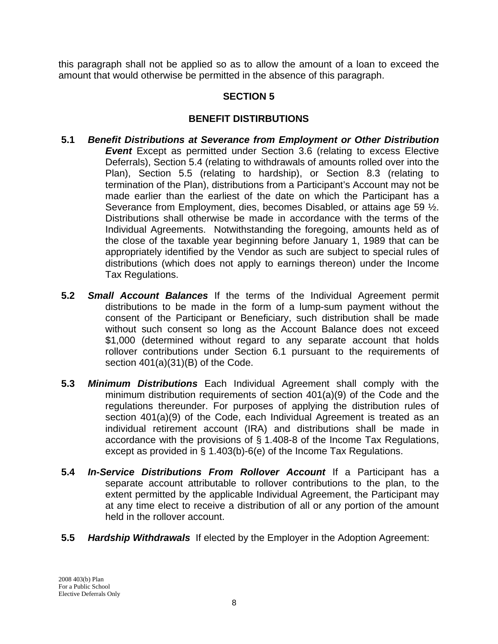this paragraph shall not be applied so as to allow the amount of a loan to exceed the amount that would otherwise be permitted in the absence of this paragraph.

#### **SECTION 5**

#### **BENEFIT DISTIRBUTIONS**

- **5.1** *Benefit Distributions at Severance from Employment or Other Distribution*  **Event** Except as permitted under Section 3.6 (relating to excess Elective Deferrals), Section 5.4 (relating to withdrawals of amounts rolled over into the Plan), Section 5.5 (relating to hardship), or Section 8.3 (relating to termination of the Plan), distributions from a Participant's Account may not be made earlier than the earliest of the date on which the Participant has a Severance from Employment, dies, becomes Disabled, or attains age 59 ½. Distributions shall otherwise be made in accordance with the terms of the Individual Agreements. Notwithstanding the foregoing, amounts held as of the close of the taxable year beginning before January 1, 1989 that can be appropriately identified by the Vendor as such are subject to special rules of distributions (which does not apply to earnings thereon) under the Income Tax Regulations.
- **5.2** *Small Account Balances* If the terms of the Individual Agreement permit distributions to be made in the form of a lump-sum payment without the consent of the Participant or Beneficiary, such distribution shall be made without such consent so long as the Account Balance does not exceed \$1,000 (determined without regard to any separate account that holds rollover contributions under Section 6.1 pursuant to the requirements of section 401(a)(31)(B) of the Code.
- **5.3** *Minimum Distributions* Each Individual Agreement shall comply with the minimum distribution requirements of section 401(a)(9) of the Code and the regulations thereunder. For purposes of applying the distribution rules of section 401(a)(9) of the Code, each Individual Agreement is treated as an individual retirement account (IRA) and distributions shall be made in accordance with the provisions of § 1.408-8 of the Income Tax Regulations, except as provided in § 1.403(b)-6(e) of the Income Tax Regulations.
- **5.4** *In-Service Distributions From Rollover Account* If a Participant has a separate account attributable to rollover contributions to the plan, to the extent permitted by the applicable Individual Agreement, the Participant may at any time elect to receive a distribution of all or any portion of the amount held in the rollover account.
- **5.5** *Hardship Withdrawals* If elected by the Employer in the Adoption Agreement: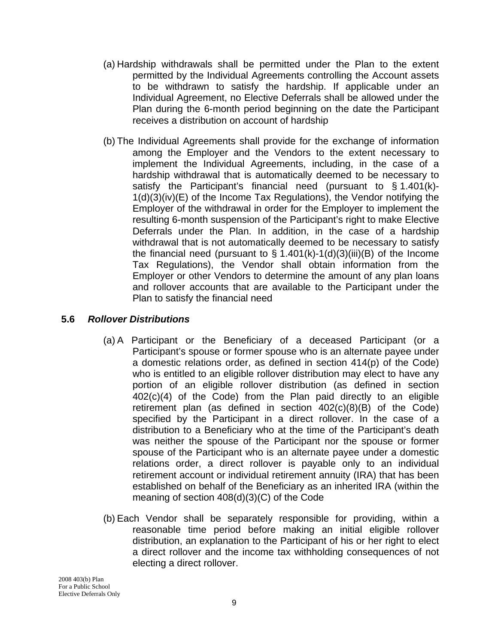- (a) Hardship withdrawals shall be permitted under the Plan to the extent permitted by the Individual Agreements controlling the Account assets to be withdrawn to satisfy the hardship. If applicable under an Individual Agreement, no Elective Deferrals shall be allowed under the Plan during the 6-month period beginning on the date the Participant receives a distribution on account of hardship
- (b) The Individual Agreements shall provide for the exchange of information among the Employer and the Vendors to the extent necessary to implement the Individual Agreements, including, in the case of a hardship withdrawal that is automatically deemed to be necessary to satisfy the Participant's financial need (pursuant to § 1.401(k)- 1(d)(3)(iv)(E) of the Income Tax Regulations), the Vendor notifying the Employer of the withdrawal in order for the Employer to implement the resulting 6-month suspension of the Participant's right to make Elective Deferrals under the Plan. In addition, in the case of a hardship withdrawal that is not automatically deemed to be necessary to satisfy the financial need (pursuant to  $\S$  1.401(k)-1(d)(3)(iii)(B) of the Income Tax Regulations), the Vendor shall obtain information from the Employer or other Vendors to determine the amount of any plan loans and rollover accounts that are available to the Participant under the Plan to satisfy the financial need

#### **5.6** *Rollover Distributions*

- (a) A Participant or the Beneficiary of a deceased Participant (or a Participant's spouse or former spouse who is an alternate payee under a domestic relations order, as defined in section 414(p) of the Code) who is entitled to an eligible rollover distribution may elect to have any portion of an eligible rollover distribution (as defined in section 402(c)(4) of the Code) from the Plan paid directly to an eligible retirement plan (as defined in section 402(c)(8)(B) of the Code) specified by the Participant in a direct rollover. In the case of a distribution to a Beneficiary who at the time of the Participant's death was neither the spouse of the Participant nor the spouse or former spouse of the Participant who is an alternate payee under a domestic relations order, a direct rollover is payable only to an individual retirement account or individual retirement annuity (IRA) that has been established on behalf of the Beneficiary as an inherited IRA (within the meaning of section 408(d)(3)(C) of the Code
- (b) Each Vendor shall be separately responsible for providing, within a reasonable time period before making an initial eligible rollover distribution, an explanation to the Participant of his or her right to elect a direct rollover and the income tax withholding consequences of not electing a direct rollover.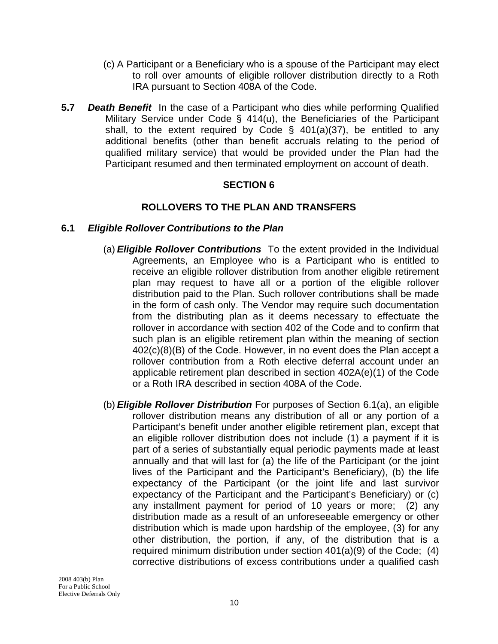- (c) A Participant or a Beneficiary who is a spouse of the Participant may elect to roll over amounts of eligible rollover distribution directly to a Roth IRA pursuant to Section 408A of the Code.
- **5.7** *Death Benefit* In the case of a Participant who dies while performing Qualified Military Service under Code § 414(u), the Beneficiaries of the Participant shall, to the extent required by Code §  $401(a)(37)$ , be entitled to any additional benefits (other than benefit accruals relating to the period of qualified military service) that would be provided under the Plan had the Participant resumed and then terminated employment on account of death.

#### **ROLLOVERS TO THE PLAN AND TRANSFERS**

#### **6.1** *Eligible Rollover Contributions to the Plan*

- (a) *Eligible Rollover Contributions* To the extent provided in the Individual Agreements, an Employee who is a Participant who is entitled to receive an eligible rollover distribution from another eligible retirement plan may request to have all or a portion of the eligible rollover distribution paid to the Plan. Such rollover contributions shall be made in the form of cash only. The Vendor may require such documentation from the distributing plan as it deems necessary to effectuate the rollover in accordance with section 402 of the Code and to confirm that such plan is an eligible retirement plan within the meaning of section 402(c)(8)(B) of the Code. However, in no event does the Plan accept a rollover contribution from a Roth elective deferral account under an applicable retirement plan described in section 402A(e)(1) of the Code or a Roth IRA described in section 408A of the Code.
- (b) *Eligible Rollover Distribution* For purposes of Section 6.1(a), an eligible rollover distribution means any distribution of all or any portion of a Participant's benefit under another eligible retirement plan, except that an eligible rollover distribution does not include (1) a payment if it is part of a series of substantially equal periodic payments made at least annually and that will last for (a) the life of the Participant (or the joint lives of the Participant and the Participant's Beneficiary), (b) the life expectancy of the Participant (or the joint life and last survivor expectancy of the Participant and the Participant's Beneficiary) or (c) any installment payment for period of 10 years or more; (2) any distribution made as a result of an unforeseeable emergency or other distribution which is made upon hardship of the employee, (3) for any other distribution, the portion, if any, of the distribution that is a required minimum distribution under section 401(a)(9) of the Code; (4) corrective distributions of excess contributions under a qualified cash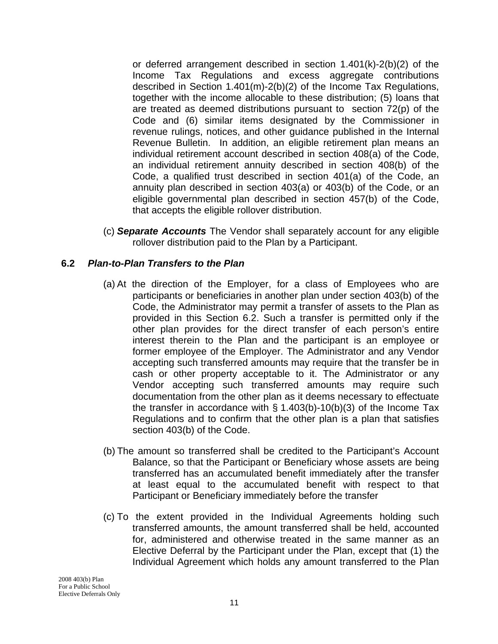or deferred arrangement described in section 1.401(k)-2(b)(2) of the Income Tax Regulations and excess aggregate contributions described in Section 1.401(m)-2(b)(2) of the Income Tax Regulations, together with the income allocable to these distribution; (5) loans that are treated as deemed distributions pursuant to section 72(p) of the Code and (6) similar items designated by the Commissioner in revenue rulings, notices, and other guidance published in the Internal Revenue Bulletin. In addition, an eligible retirement plan means an individual retirement account described in section 408(a) of the Code, an individual retirement annuity described in section 408(b) of the Code, a qualified trust described in section 401(a) of the Code, an annuity plan described in section 403(a) or 403(b) of the Code, or an eligible governmental plan described in section 457(b) of the Code, that accepts the eligible rollover distribution.

(c) *Separate Accounts* The Vendor shall separately account for any eligible rollover distribution paid to the Plan by a Participant.

## **6.2** *Plan-to-Plan Transfers to the Plan*

- (a) At the direction of the Employer, for a class of Employees who are participants or beneficiaries in another plan under section 403(b) of the Code, the Administrator may permit a transfer of assets to the Plan as provided in this Section 6.2. Such a transfer is permitted only if the other plan provides for the direct transfer of each person's entire interest therein to the Plan and the participant is an employee or former employee of the Employer. The Administrator and any Vendor accepting such transferred amounts may require that the transfer be in cash or other property acceptable to it. The Administrator or any Vendor accepting such transferred amounts may require such documentation from the other plan as it deems necessary to effectuate the transfer in accordance with  $\S$  1.403(b)-10(b)(3) of the Income Tax Regulations and to confirm that the other plan is a plan that satisfies section 403(b) of the Code.
- (b) The amount so transferred shall be credited to the Participant's Account Balance, so that the Participant or Beneficiary whose assets are being transferred has an accumulated benefit immediately after the transfer at least equal to the accumulated benefit with respect to that Participant or Beneficiary immediately before the transfer
- (c) To the extent provided in the Individual Agreements holding such transferred amounts, the amount transferred shall be held, accounted for, administered and otherwise treated in the same manner as an Elective Deferral by the Participant under the Plan, except that (1) the Individual Agreement which holds any amount transferred to the Plan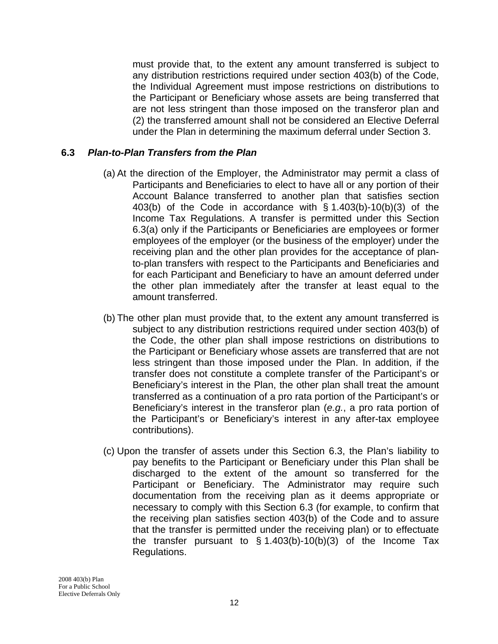must provide that, to the extent any amount transferred is subject to any distribution restrictions required under section 403(b) of the Code, the Individual Agreement must impose restrictions on distributions to the Participant or Beneficiary whose assets are being transferred that are not less stringent than those imposed on the transferor plan and (2) the transferred amount shall not be considered an Elective Deferral under the Plan in determining the maximum deferral under Section 3.

#### **6.3** *Plan-to-Plan Transfers from the Plan*

- (a) At the direction of the Employer, the Administrator may permit a class of Participants and Beneficiaries to elect to have all or any portion of their Account Balance transferred to another plan that satisfies section 403(b) of the Code in accordance with § 1.403(b)-10(b)(3) of the Income Tax Regulations. A transfer is permitted under this Section 6.3(a) only if the Participants or Beneficiaries are employees or former employees of the employer (or the business of the employer) under the receiving plan and the other plan provides for the acceptance of planto-plan transfers with respect to the Participants and Beneficiaries and for each Participant and Beneficiary to have an amount deferred under the other plan immediately after the transfer at least equal to the amount transferred.
- (b) The other plan must provide that, to the extent any amount transferred is subject to any distribution restrictions required under section 403(b) of the Code, the other plan shall impose restrictions on distributions to the Participant or Beneficiary whose assets are transferred that are not less stringent than those imposed under the Plan. In addition, if the transfer does not constitute a complete transfer of the Participant's or Beneficiary's interest in the Plan, the other plan shall treat the amount transferred as a continuation of a pro rata portion of the Participant's or Beneficiary's interest in the transferor plan (*e.g.*, a pro rata portion of the Participant's or Beneficiary's interest in any after-tax employee contributions).
- (c) Upon the transfer of assets under this Section 6.3, the Plan's liability to pay benefits to the Participant or Beneficiary under this Plan shall be discharged to the extent of the amount so transferred for the Participant or Beneficiary. The Administrator may require such documentation from the receiving plan as it deems appropriate or necessary to comply with this Section 6.3 (for example, to confirm that the receiving plan satisfies section 403(b) of the Code and to assure that the transfer is permitted under the receiving plan) or to effectuate the transfer pursuant to  $\S$  1.403(b)-10(b)(3) of the Income Tax Regulations.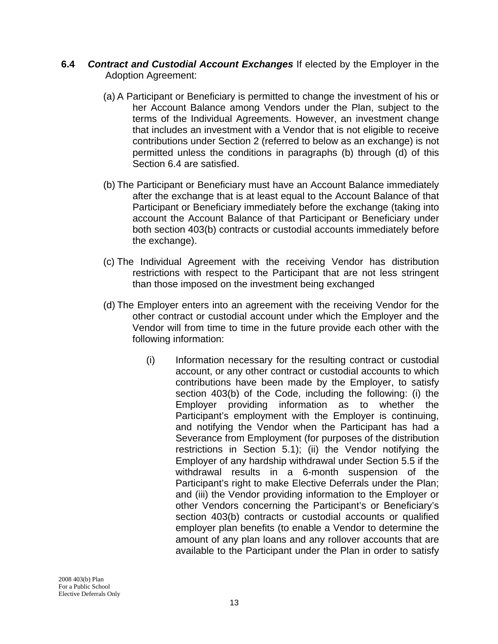- **6.4** *Contract and Custodial Account Exchanges* If elected by the Employer in the Adoption Agreement:
	- (a) A Participant or Beneficiary is permitted to change the investment of his or her Account Balance among Vendors under the Plan, subject to the terms of the Individual Agreements. However, an investment change that includes an investment with a Vendor that is not eligible to receive contributions under Section 2 (referred to below as an exchange) is not permitted unless the conditions in paragraphs (b) through (d) of this Section 6.4 are satisfied.
	- (b) The Participant or Beneficiary must have an Account Balance immediately after the exchange that is at least equal to the Account Balance of that Participant or Beneficiary immediately before the exchange (taking into account the Account Balance of that Participant or Beneficiary under both section 403(b) contracts or custodial accounts immediately before the exchange).
	- (c) The Individual Agreement with the receiving Vendor has distribution restrictions with respect to the Participant that are not less stringent than those imposed on the investment being exchanged
	- (d) The Employer enters into an agreement with the receiving Vendor for the other contract or custodial account under which the Employer and the Vendor will from time to time in the future provide each other with the following information:
		- (i) Information necessary for the resulting contract or custodial account, or any other contract or custodial accounts to which contributions have been made by the Employer, to satisfy section 403(b) of the Code, including the following: (i) the Employer providing information as to whether the Participant's employment with the Employer is continuing, and notifying the Vendor when the Participant has had a Severance from Employment (for purposes of the distribution restrictions in Section 5.1); (ii) the Vendor notifying the Employer of any hardship withdrawal under Section 5.5 if the withdrawal results in a 6-month suspension of the Participant's right to make Elective Deferrals under the Plan; and (iii) the Vendor providing information to the Employer or other Vendors concerning the Participant's or Beneficiary's section 403(b) contracts or custodial accounts or qualified employer plan benefits (to enable a Vendor to determine the amount of any plan loans and any rollover accounts that are available to the Participant under the Plan in order to satisfy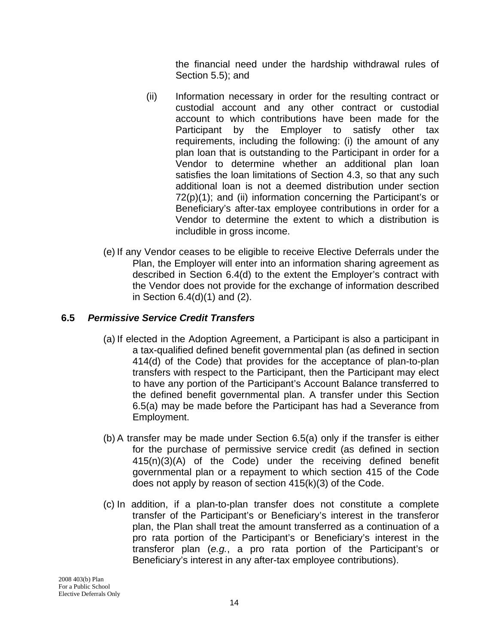the financial need under the hardship withdrawal rules of Section 5.5); and

- (ii) Information necessary in order for the resulting contract or custodial account and any other contract or custodial account to which contributions have been made for the Participant by the Employer to satisfy other tax requirements, including the following: (i) the amount of any plan loan that is outstanding to the Participant in order for a Vendor to determine whether an additional plan loan satisfies the loan limitations of Section 4.3, so that any such additional loan is not a deemed distribution under section 72(p)(1); and (ii) information concerning the Participant's or Beneficiary's after-tax employee contributions in order for a Vendor to determine the extent to which a distribution is includible in gross income.
- (e) If any Vendor ceases to be eligible to receive Elective Deferrals under the Plan, the Employer will enter into an information sharing agreement as described in Section 6.4(d) to the extent the Employer's contract with the Vendor does not provide for the exchange of information described in Section 6.4(d)(1) and (2).

## **6.5** *Permissive Service Credit Transfers*

- (a) If elected in the Adoption Agreement, a Participant is also a participant in a tax-qualified defined benefit governmental plan (as defined in section 414(d) of the Code) that provides for the acceptance of plan-to-plan transfers with respect to the Participant, then the Participant may elect to have any portion of the Participant's Account Balance transferred to the defined benefit governmental plan. A transfer under this Section 6.5(a) may be made before the Participant has had a Severance from Employment.
- (b) A transfer may be made under Section 6.5(a) only if the transfer is either for the purchase of permissive service credit (as defined in section 415(n)(3)(A) of the Code) under the receiving defined benefit governmental plan or a repayment to which section 415 of the Code does not apply by reason of section 415(k)(3) of the Code.
- (c) In addition, if a plan-to-plan transfer does not constitute a complete transfer of the Participant's or Beneficiary's interest in the transferor plan, the Plan shall treat the amount transferred as a continuation of a pro rata portion of the Participant's or Beneficiary's interest in the transferor plan (*e.g.*, a pro rata portion of the Participant's or Beneficiary's interest in any after-tax employee contributions).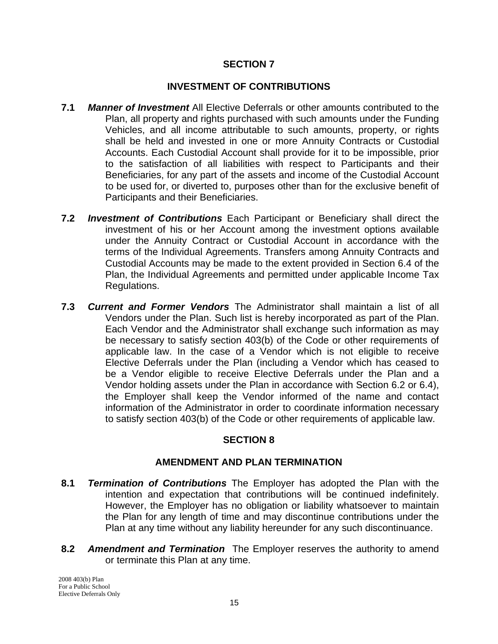#### **INVESTMENT OF CONTRIBUTIONS**

- **7.1** *Manner of Investment* All Elective Deferrals or other amounts contributed to the Plan, all property and rights purchased with such amounts under the Funding Vehicles, and all income attributable to such amounts, property, or rights shall be held and invested in one or more Annuity Contracts or Custodial Accounts. Each Custodial Account shall provide for it to be impossible, prior to the satisfaction of all liabilities with respect to Participants and their Beneficiaries, for any part of the assets and income of the Custodial Account to be used for, or diverted to, purposes other than for the exclusive benefit of Participants and their Beneficiaries.
- **7.2** *Investment of Contributions* Each Participant or Beneficiary shall direct the investment of his or her Account among the investment options available under the Annuity Contract or Custodial Account in accordance with the terms of the Individual Agreements. Transfers among Annuity Contracts and Custodial Accounts may be made to the extent provided in Section 6.4 of the Plan, the Individual Agreements and permitted under applicable Income Tax Regulations.
- **7.3** *Current and Former Vendors* The Administrator shall maintain a list of all Vendors under the Plan. Such list is hereby incorporated as part of the Plan. Each Vendor and the Administrator shall exchange such information as may be necessary to satisfy section 403(b) of the Code or other requirements of applicable law. In the case of a Vendor which is not eligible to receive Elective Deferrals under the Plan (including a Vendor which has ceased to be a Vendor eligible to receive Elective Deferrals under the Plan and a Vendor holding assets under the Plan in accordance with Section 6.2 or 6.4), the Employer shall keep the Vendor informed of the name and contact information of the Administrator in order to coordinate information necessary to satisfy section 403(b) of the Code or other requirements of applicable law.

#### **SECTION 8**

#### **AMENDMENT AND PLAN TERMINATION**

- **8.1** *Termination of Contributions* The Employer has adopted the Plan with the intention and expectation that contributions will be continued indefinitely. However, the Employer has no obligation or liability whatsoever to maintain the Plan for any length of time and may discontinue contributions under the Plan at any time without any liability hereunder for any such discontinuance.
- **8.2** *Amendment and Termination* The Employer reserves the authority to amend or terminate this Plan at any time.

2008 403(b) Plan For a Public School Elective Deferrals Only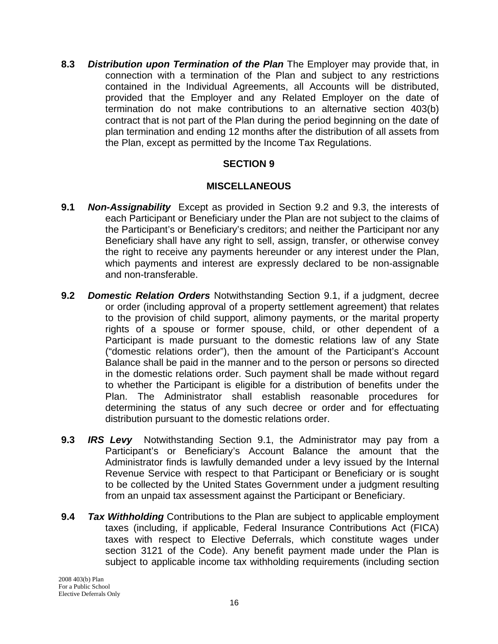**8.3** *Distribution upon Termination of the Plan* The Employer may provide that, in connection with a termination of the Plan and subject to any restrictions contained in the Individual Agreements, all Accounts will be distributed, provided that the Employer and any Related Employer on the date of termination do not make contributions to an alternative section 403(b) contract that is not part of the Plan during the period beginning on the date of plan termination and ending 12 months after the distribution of all assets from the Plan, except as permitted by the Income Tax Regulations.

#### **SECTION 9**

#### **MISCELLANEOUS**

- **9.1** *Non-Assignability* Except as provided in Section 9.2 and 9.3, the interests of each Participant or Beneficiary under the Plan are not subject to the claims of the Participant's or Beneficiary's creditors; and neither the Participant nor any Beneficiary shall have any right to sell, assign, transfer, or otherwise convey the right to receive any payments hereunder or any interest under the Plan, which payments and interest are expressly declared to be non-assignable and non-transferable.
- **9.2** *Domestic Relation Orders* Notwithstanding Section 9.1, if a judgment, decree or order (including approval of a property settlement agreement) that relates to the provision of child support, alimony payments, or the marital property rights of a spouse or former spouse, child, or other dependent of a Participant is made pursuant to the domestic relations law of any State ("domestic relations order"), then the amount of the Participant's Account Balance shall be paid in the manner and to the person or persons so directed in the domestic relations order. Such payment shall be made without regard to whether the Participant is eligible for a distribution of benefits under the Plan. The Administrator shall establish reasonable procedures for determining the status of any such decree or order and for effectuating distribution pursuant to the domestic relations order.
- **9.3** *IRS Levy* Notwithstanding Section 9.1, the Administrator may pay from a Participant's or Beneficiary's Account Balance the amount that the Administrator finds is lawfully demanded under a levy issued by the Internal Revenue Service with respect to that Participant or Beneficiary or is sought to be collected by the United States Government under a judgment resulting from an unpaid tax assessment against the Participant or Beneficiary.
- **9.4** *Tax Withholding* Contributions to the Plan are subject to applicable employment taxes (including, if applicable, Federal Insurance Contributions Act (FICA) taxes with respect to Elective Deferrals, which constitute wages under section 3121 of the Code). Any benefit payment made under the Plan is subject to applicable income tax withholding requirements (including section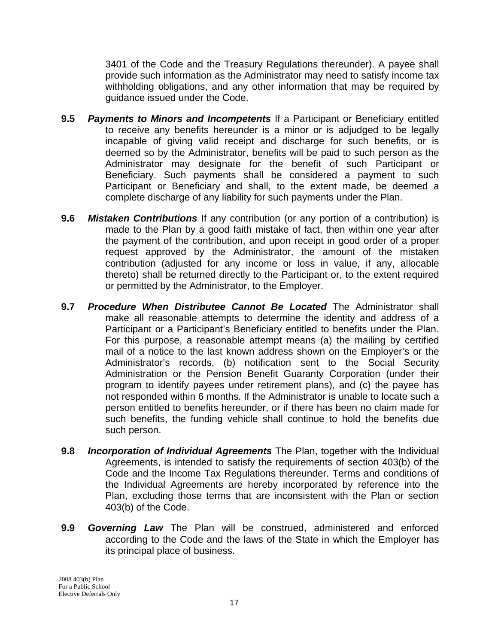3401 of the Code and the Treasury Regulations thereunder). A payee shall provide such information as the Administrator may need to satisfy income tax withholding obligations, and any other information that may be required by guidance issued under the Code.

- **9.5** *Payments to Minors and Incompetents* If a Participant or Beneficiary entitled to receive any benefits hereunder is a minor or is adjudged to be legally incapable of giving valid receipt and discharge for such benefits, or is deemed so by the Administrator, benefits will be paid to such person as the Administrator may designate for the benefit of such Participant or Beneficiary. Such payments shall be considered a payment to such Participant or Beneficiary and shall, to the extent made, be deemed a complete discharge of any liability for such payments under the Plan.
- **9.6** *Mistaken Contributions* If any contribution (or any portion of a contribution) is made to the Plan by a good faith mistake of fact, then within one year after the payment of the contribution, and upon receipt in good order of a proper request approved by the Administrator, the amount of the mistaken contribution (adjusted for any income or loss in value, if any, allocable thereto) shall be returned directly to the Participant or, to the extent required or permitted by the Administrator, to the Employer.
- **9.7** *Procedure When Distributee Cannot Be Located* The Administrator shall make all reasonable attempts to determine the identity and address of a Participant or a Participant's Beneficiary entitled to benefits under the Plan. For this purpose, a reasonable attempt means (a) the mailing by certified mail of a notice to the last known address shown on the Employer's or the Administrator's records, (b) notification sent to the Social Security Administration or the Pension Benefit Guaranty Corporation (under their program to identify payees under retirement plans), and (c) the payee has not responded within 6 months. If the Administrator is unable to locate such a person entitled to benefits hereunder, or if there has been no claim made for such benefits, the funding vehicle shall continue to hold the benefits due such person.
- **9.8** *Incorporation of Individual Agreements* The Plan, together with the Individual Agreements, is intended to satisfy the requirements of section 403(b) of the Code and the Income Tax Regulations thereunder. Terms and conditions of the Individual Agreements are hereby incorporated by reference into the Plan, excluding those terms that are inconsistent with the Plan or section 403(b) of the Code.
- **9.9** *Governing Law* The Plan will be construed, administered and enforced according to the Code and the laws of the State in which the Employer has its principal place of business.